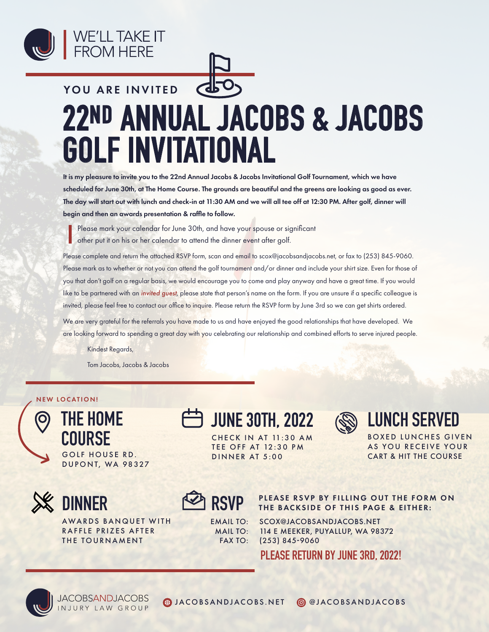



## **22ND ANNUAL JACOBS & JACOBS GOLF INVITATIONAL** YOU ARE INVITED

It is my pleasure to invite you to the 22nd Annual Jacobs & Jacobs Invitational Golf Tournament, which we have scheduled for June 30th, at The Home Course. The grounds are beautiful and the greens are looking as good as ever. The day will start out with lunch and check-in at 11:30 AM and we will all tee off at 12:30 PM. After golf, dinner will begin and then an awards presentation & raffle to follow.

Please mark your calendar for June 30th, and have your spouse or significant other put it on his or her calendar to attend the dinner event after golf.

Please complete and return the attached RSVP form, scan and email to scox@jacobsandjacobs.net, or fax to (253) 845-9060. Please mark as to whether or not you can attend the golf tournament and/or dinner and include your shirt size. Even for those of you that don't golf on a regular basis, we would encourage you to come and play anyway and have a great time. If you would like to be partnered with an *invited guest*, please state that person's name on the form. If you are unsure if a specific colleague is invited, please feel free to contact our office to inquire. Please return the RSVP form by June 3rd so we can get shirts ordered.

We are very grateful for the referrals you have made to us and have enjoyed the good relationships that have developed. We are looking forward to spending a great day with you celebrating our relationship and combined efforts to serve injured people.

Kindest Regards,

Tom Jacobs, Jacobs & Jacobs

## NEW LOCATION!

**THE HOME COURSE** GOLF HOUSE RD. DUPONT, WA 98327



O

**DINNER**

AWARDS BANQUET WITH RAFFLE PRIZES AFTER THE TOURNAMENT

**JUNE 30TH, 2022**



**LUNCH SERVED**

BOXED LUNCHES GIVEN AS YOU RECEIVE YOUR CART & HIT THE COURSE

**CHECK IN AT 11:30 AM TEE OFF AT 12:30 PM** DINNER AT 5:00



EMAIL TO: MAIL TO: FAX TO: PLEASE RSVP BY FILLING OUT THE FORM ON **RSVP** THE BACKSIDE OF THIS PAGE & EITHER:

SCOX@JACOBSANDJACOBS.NET 114 E MEEKER, PUYALLUP, WA 98372 (253) 845-9060

**PLEASE RETURN BY JUNE 3RD, 2022!**



**JACOBSANDJACOBS** NJURY LAW GROUP

JACOBSANDJACOBS.NET @JACOBSANDJACOBS